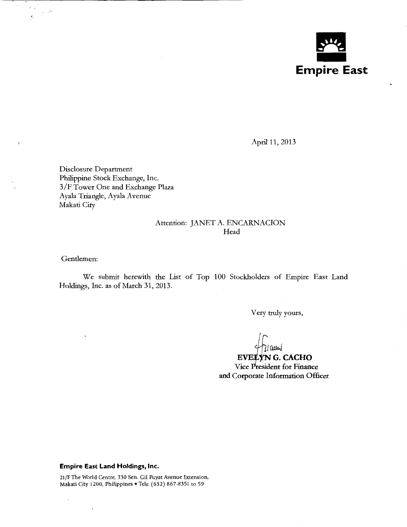

April 11, 2013

Disclosure Department Philippine Stock Exchange, Inc. 3 /F Tower One and Exchange Plaza Ayala Triangle, Ayala Avenue Makati City

### Attention: JANET A. ENCARNACION Head

Gentlemen:

 $\cdot$ 

 $\geq$  )

 $\sum_{i=1}^n \frac{1}{i!} \frac{2^{i+1}}{i!} \frac{2^{i+1}}{i!}$  $\mathcal{L}_{\mathcal{A}}$ 

> We submit herewith the List of Top 100 Stockholders of Empire East Land Holdings, Inc. as of March 31, 2013.

> > Very truly yours,

)ا aس(

Vice President for Finance EVELYNG. CACHO and Corporate Information Officer

#### **Empire East Land Holdings, Inc.**

 $\ddot{\phantom{0}}$ 

21/F The World Centre, 330 Sen. Gil Puyat Avenue Extension, Makati City 1200, Philippines • Tels: (632) 867-8351 to 59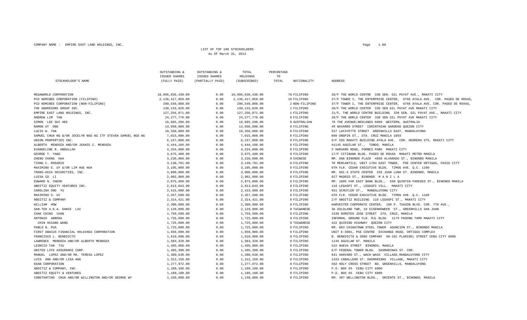COMPANY NAME : EMPIRE EAST LAND HOLDINGS, INC.  $P_{\text{A}}$ 

#### LIST OF TOP 100 STOCKHOLDERSAs Of March 31, 2013

|                                                             | OUTSTANDING &<br><b>ISSUED SHARES</b> | OUTSTANDING &<br><b>ISSUED SHARES</b> | TOTAL<br>HOLDINGS | PERCENTAGE<br>TO |                |                                                                           |
|-------------------------------------------------------------|---------------------------------------|---------------------------------------|-------------------|------------------|----------------|---------------------------------------------------------------------------|
| STOCKHOLDER'S NAME                                          | (FULLY PAID)                          | (PARTIALLY PAID)                      | (SUBSCRIBED)      | TOTAL            | NATIONALITY    | ADDRESS                                                                   |
| MEGAWORLD CORPORATION                                       | 10,606,036,438.00                     | 0.00                                  | 10,606,036,438.00 |                  | 78 FILIPINO    | 28/F THE WORLD CENTRE 330 SEN. GIL PUYAT AVE., MAKATI CITY                |
| PCD NOMINEE CORPORATION (FILIPINO)                          | 2,136,417,959.00                      | 0.00                                  | 2,136,417,959.00  |                  | 16 FILIPINO    | 37/F TOWER I, THE ENTERPRISE CENTER, 6766 AYALA AVE. COR. PASEO DE ROXAS  |
| PCD NOMINEE CORPORATION (NON-FILIPINO)                      | 290,549,808.00                        | 0.00                                  | 290,549,808.00    |                  | 2 NON-FILIPINO | 37/F TOWER I, THE ENTERPRISE CENTER, 6766 AYALA AVE. COR. PASEO DE ROXAS, |
| THE ANDRESONS GROUP INC.                                    | 138, 133, 820.00                      | 0.00                                  | 138,133,820.00    |                  | 1 FILIPINO     | 28/F THE WORLD CENTER 330 SEN GIL PUYAT AVE MAKATI CITY                   |
| EMPIRE EAST LAND HOLDINGS, INC.                             | 127, 256, 071.00                      | 0.00                                  | 127,256,071.00    |                  | 1 FILIPINO     | 21/F, THE WORLD CENTRE BUILDING 330 SEN. GIL PUYAT AVE., MAKATI CITY      |
| ANDREW LIM TAN                                              | 24, 277, 776.00                       | 0.00                                  | 24, 277, 776.00   |                  | 0 FILIPINO     | 28/F THE WORLD CENTER 330 SEN GIL PUYAT AVE MAKATI CITY                   |
| SIMON LEE SUI HEE                                           | 16,685,206.00                         | 0.00                                  | 16,685,206.00     |                  | 0 AUSTRALIAN   | 78 THE AVENUE; NEDLANDS 6009 WESTERN, AUSTRALIA                           |
| RAMON UY ONG                                                | 14,950,000.00                         | 0.00                                  | 14,950,000.00     |                  | 0 FILIPINO     | #9 NAVARRO STREET CORINTHIAN GARDENS OUEZON CITY                          |
| LUCIO W. YAN                                                | 10,350,000.00                         | 0.00                                  | 10,350,000.00     |                  | 0 FILIPINO     | 537 LAFAYETTE STREET GREENHILLS EAST, MANDALUYONG                         |
| SAMUEL CHUA NG &/OR JOCELYN NGO NG ITF STEVEN SAMUEL NGO NG | 7,015,000.00                          | 0.00                                  | 7,015,000.00      |                  | 0 FILIPINO     | 809 ONGPIN ST., STA. CRUZ MANILA 1003                                     |
| UNION PROPERTIES INC.                                       | 6,157,808.00                          | 0.00                                  | 6,157,808.00      |                  | 0 FILIPINO     | 6/F SSS MAKATI BUILDING AYALA AVE. COR. HERRERA STS. MAKATI CITY          |
| ALBERTO MENDOZA AND/OR JEANIE C. MENDOZA                    | 4,444,106.00                          | 0.00                                  | 4,444,106.00      |                  | 0 FILIPINO     | #1145 AGUILAR ST., TONDO, MANILA                                          |
| EVANGELINE R. ABDULLAH                                      | 4,324,000.00                          | 0.00                                  | 4,324,000.00      |                  | 0 FILIPINO     | 3 HARVARD ROAD, FORBES PARK MAKATI CITY                                   |
| GEORGE T. YANG                                              | 3,675,400.00                          | 0.00                                  | 3,675,400.00      |                  | 0 FILIPINO     | 17/F CITIBANK BLDG. PASEO DE ROXAS MAKATI METRO MANILA                    |
| ZHENG CHANG HUA                                             | 3,220,000.00                          | 0.00                                  | 3,220,000.00      |                  | 0 CHINESE      | RM. 608 BINONDO PLAZA #850 ALVARADO ST., BINONDO MANILA                   |
| TIONG C. ROSARIO                                            | 3,138,791.00                          | 0.00                                  | 3,138,791.00      |                  | 0 FILIPINO     | TR MERCANTILE, UNIT 1704 EAST TOWER, PSE CENTER ORTIGAS, PASIG CITY       |
| MAXIMINO S. UY &/OR LIM HUE HUA                             | 3,105,000.00                          | 0.00                                  | 3,105,000.00      |                  | 0 FILIPINO     | 6TH FLR. CEDAR EXECUTIVE BLDG. TIMOG AVE. O.C. 1100                       |
| TRANS-ASIA SECURITIES, INC.                                 | 3,000,000.00                          | 0.00                                  | 3,000,000.00      |                  | 0 FILIPINO     | RM. 601-S STATE CENTER 333 JUAN LUNA ST. BINONDO, MANILA                  |
| LUISA CO LI                                                 | 2,902,908.00                          | 0.00                                  | 2,902,908.00      |                  | 0 FILIPINO     | 627 MADRID ST., BINONDO MANILA                                            |
| EDWARD N. CHEOK                                             | 2,875,000.00                          | 0.00                                  | 2,875,000.00      |                  | 0 FILIPINO     | RM. 1005 FAR EAST BANK BLDG., 560 QUINTIN PAREDES ST., BINONDO MANILA     |
| ABOITIZ EQUITY VENTURES INC.                                | 2,813,843.00                          | 0.00                                  | 2,813,843.00      |                  | 0 FILIPINO     | 110 LEGASPI ST., LEGASPI VILL. MAKATI CITY                                |
| CAROLINA ONG YU                                             | 2,415,000.00                          | 0.00                                  | 2,415,000.00      |                  | 0 FILIPINO     | 931 SCHUYLER ST., MANDALUYONG CITY                                        |
| MAXIMINO S. UY                                              | 2,357,500.00                          | 0.00                                  | 2,357,500.00      |                  | 0 FILIPINO     | 6TH FLR. CEDAR EXECUTIVE BLDG. TIMOG AVE. O.C. 1100                       |
| ABOITIZ & COMPANY                                           | 2,314,421.00                          | 0.00                                  | 2, 314, 421.00    |                  | 0 FILIPINO     | 2/F ABOITIZ BUILDING 110 LEGASPI ST., MAKATI CITY                         |
| WILLIAM HOW                                                 | 2,300,000.00                          | 0.00                                  | 2,300,000.00      |                  | 0 FILIPINO     | HARVESTER CORPORATE CENTER, 158 P. TUAZON BLVD. COR. 7TH AVE.,            |
| SAN-TEH A.K.A. DANIE LAI                                    | 2,129,800.00                          | 0.00                                  | 2,129,800.00      |                  | 0 TAIWANESE    | 3A GOLDLAND TWR, 10 EISENHOWEER ST., GREENHILLS SAN JUAN                  |
| CHAK CHING CHAN                                             | 1,759,500.00                          | 0.00                                  | 1,759,500.00      |                  | 0 FILIPINO     | 1539 DOROTEO JOSE STREET STA. CRUZ, MANILA                                |
| ANTONIO ABRERA                                              | 1,725,000.00                          | 0.00                                  | 1,725,000.00      |                  | 0 FILIPINO     | INFOMAN, GROUND FLR. MJL BLDG. 1175 PASONG TAMO MAKATI CITY               |
| CHIN HSIANG WANG                                            | 1,725,000.00                          | 0.00                                  | 1,725,000.00      |                  | 0 TAIWANESE    | 422 OUIRINO HIGHWAY OUEZON CITY                                           |
| PABLO N. PUA                                                | 1,725,000.00                          | 0.00                                  | 1,725,000.00      |                  | 0 FILIPINO     | RM. 803 CHINATOWN STEEL TOWER ASUNCION ST., BINONDO MANILA                |
| FIRST ABACUS FINANCIAL HOLDINGS CORPORATION                 | 1,650,000.00                          | 0.00                                  | 1,650,000.00      |                  | 0 FILIPINO     | UNIT E-3001, PSE CENTRE EXCHANGE ROAD, ORTIGAS COMPLEX                    |
| FRANCISCO L. BENEDICTO                                      | 1,610,000.00                          | 0.00                                  | 1,610,000.00      |                  | 0 FILIPINO     | B. BENEDICTO & SONS COMPANY 99-101 PLARIDEL STREET CEBU CITY 6000         |
| LAWRENCE MENDOZA AND/OR ALBERTO MENDOZA                     | 1,583,320.00                          | 0.00                                  | 1,583,320.00      |                  | 0 FILIPINO     | 1145 AGUILAR ST. MANILA                                                   |
| LEONCIO TAN TIU                                             | 1,495,000.00                          | 0.00                                  | 1,495,000.00      |                  | 0 FILIPINO     | 522 NUEVA STREET BINONDO, MANILA                                          |
| UNITED LIFE ASSURANCE CORP.                                 | 1,405,300.00                          | 0.00                                  | 1,405,300.00      |                  | 0 FILIPINO     | 6/F FEDERAL TOWER BLDG. DASMARINAS ST. COR.                               |
| MANUEL LOPEZ AND/OR MA. TERESA LOPEZ                        | 1,380,638.00                          | 0.00                                  | 1,380,638.00      |                  | 0 FILIPINO     | 841 HARVARD ST., WACK-WACK VILLAGE, MANDALUYONG CITY                      |
| LUIS ANG AND/OR LISA ANG                                    | 1,312,150.00                          | 0.00                                  | 1,312,150.00      |                  | 0 FILIPINO     | 1333 CABALLERO ST. DASMARINAS VILLAGE, MAKATI CITY                        |
| EDAN CORPORATION                                            | 1,277,972.00                          | 0.00                                  | 1,277,972.00      |                  | 0 FILIPINO     | 562 HOLY CROSS STREET BO. GREENHILLS, MANDALUYONG                         |
| ABOITIZ & COMPANY, INC.                                     | 1,189,100.00                          | 0.00                                  | 1,189,100.00      |                  | 0 FILIPINO     | P.O. BOX 65 CEBU CITY 6000                                                |
| ABOITIZ EQUITY & VENTURES                                   | 1,189,100.00                          | 0.00                                  | 1,189,100.00      |                  | 0 FILIPINO     | P.O. BOX 65 CEBU CITY 6000                                                |
| CONSTANTINO CHUA AND/OR WILLINGTON AND/OR GEORGE WY         | 1,150,000.00                          | 0.00                                  | 1,150,000.00      |                  | 0 FILIPINO     | RM. 307 WELLINGTON BLDG., ORIENTE ST., BINONDO, MANILA                    |
|                                                             |                                       |                                       |                   |                  |                |                                                                           |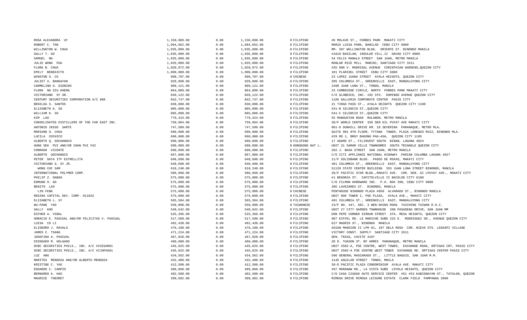| ROSA ALEXANDRA UY                              | 1,150,000.00 | 0.00 | 1,150,000.00 | 0 FILIPINO        | #6 MOLAVE ST., FORBES PARK MAKATI CITY                                      |
|------------------------------------------------|--------------|------|--------------|-------------------|-----------------------------------------------------------------------------|
| ROBERT C. TAN                                  | 1,094,662.00 | 0.00 | 1,094,662.00 | 0 FILIPINO        | MARIA LUISA PARK, BANILAD CEBU CITY 6000                                    |
| WILLINGTON W. CHUA                             | 1,035,000.00 | 0.00 | 1,035,000.00 | 0 FILIPINO        | RM. 307 WELLINGTON BLDG. ORIENTE ST. BINONDO MANILA                         |
| SALLY T. GO                                    | 1,035,000.00 | 0.00 | 1,035,000.00 | 0 FILIPINO        | #1010 BASILAN, INSULAR VILL.II DAVAO CITY 8000                              |
| SAMUEL NG                                      | 1,035,000.00 | 0.00 | 1,035,000.00 | 0 FILIPINO        | 54 FELIX MANALO STREET SAN JUAN, METRO MANILA                               |
| JULIE WONG PUA                                 | 1,035,000.00 | 0.00 | 1,035,000.00 | 0 FILIPINO        | MANLAR RICE MILL MABINI, SANTIAGO CITY 3311                                 |
| FLORA B. CHUA                                  | 1,028,972.00 | 0.00 | 1,028,972.00 | 0 FILIPINO        | #35 DON V. MADRIGAL AVENUE CORINTHIAN GARDENS, QUEZON CITY                  |
| EMILY BENEDICTO                                | 1,000,000.00 | 0.00 | 1,000,000.00 | 0 FILIPINO        | 101 PLARIDEL STREET CEBU CITY 6000                                          |
| WINSTON S. CO                                  | 998,707.00   | 0.00 | 998,707.00   | 0 CHINESE         | 23 LOPEZ JUANA STREET AYALA HEIGHTS, QUEZON CITY                            |
| JULIET U. BANGAYAN                             | 920,000.00   | 0.00 | 920,000.00   | 0 FILIPINO        | 395 COLUMBIA ST., GREENHILLS EAST, MANDALUYONG CITY                         |
| CARMELINO O. DIONIDO                           | 909,121.00   | 0.00 | 909,121.00   | 0 FILIPINO        | 2490 JUAN LUNA ST., TONDO, MANILA                                           |
| FLORA NG SIU KHENG                             | 864,800.00   | 0.00 | 864,800.00   | 0 FILIPINO        | 23 CAMBRIDGE CIRCLE, NORTH FORBES PARK MAKATI CITY                          |
| VICTORIANO SY SR.                              | 849,122.00   | 0.00 | 849,122.00   | 0 FILIPINO        | C/O GLOBESCO, INC. 192 STO. DOMINGO AVENUE QUEZON CITY                      |
| CENTURY SECURITIES CORPORATION A/C 888         | 842,747.00   | 0.00 | 842,747.00   | 0 FILIPINO        | 1105 GALLERIA CORPORATE CENTER PASIG CITY                                   |
| BENILDA S. SANTOS                              | 830,000.00   | 0.00 | 830,000.00   | 0 FILIPINO        | 21 TIRAD PASS ST., AYALA HEIGHTS QUEZON CITY 1100                           |
| ELIZABETH K. SO                                | 805,000.00   | 0.00 | 805,000.00   | 0 FILIPINO        | 541-B SILENCIO ST., QUEZON CITY                                             |
| WILLIAM K. SO                                  | 805,000.00   | 0.00 | 805,000.00   | 0 FILIPINO        | 541-C SILENCIO ST., QUEZON CITY                                             |
| KIM LAO                                        | 779,424.00   | 0.00 | 779,424.00   | 0 FILIPINO        | 55 MANGUSTAN ROAD MALABON, METRO MANILA                                     |
| CONSOLIDATED DISTILLERS OF THE FAR EAST INC.   | 759,964.00   | 0.00 | 759,964.00   | 0 FILIPINO        | 28/F WORLD CENTER 330 SEN GIL PUYAT AVE MAKATI CITY                         |
| ANTONIO INIGO SARTE                            | 747,500.00   | 0.00 | 747,500.00   | 0 FILIPINO        | 001-D DUNHILL DRIVE KM. 18 SEVERINA PARANAQUE, METRO MLA.                   |
| MARIANO O. CHUA                                | 690,000.00   | 0.00 | 690,000.00   | 0 FILIPINO        | SUITE 901 9TH FLOOR, TYTANA TOWER, PLAZA LORENZO RUIZ, BINONDO MLA.         |
| LUCILA COCHICO                                 | 690,000.00   | 0.00 | 690,000.00   | 0 FILIPINO        | #29 RD 1, BRGY BAGONG PAG-ASA, OUEZON CITY 1105                             |
| ALBERTO Q. GOCHANGCO                           | 690,000.00   | 0.00 | 690,000.00   | 0 FILIPINO        | 17 ADAMS ST., FILINVEST SOUTH BINAN, LAGUNA 4024                            |
| HUNG SEK PUI AND/OR CHAN PUI FAI               | 690,000.00   | 0.00 | 690,000.00   | 0 HONGKONG NAT L. | UNIT 21 SAMAR VILLE TOWNHOMES SOUTH TRIANGLE QUEZON CITY                    |
| CONRADO VICENTE                                | 690,000.00   | 0.00 | 690,000.00   | 0 FILIPINO        | 202 J. BASA STREET SAN JUAN, METRO MANILA                                   |
| ALBERTO GOCHANGCO                              | 667,000.00   | 0.00 | 667,000.00   | 0 FILIPINO        | C/O CITI APPLIANCE NATIONAL HIGHWAY PARIAN CALAMBA LAGUNA 4027              |
| PETER DATA ITF ESTRELLITA                      | 648,600.00   | 0.00 | 648,600.00   | 0 FILIPINO        | 11/F SOLIDBANK BLDG. PASEO DE ROXAS, MAKATI CITY                            |
| VICTORIANO G. SY JR.                           | 648,600.00   | 0.00 | 648,600.00   | 0 FILIPINO        | 401 COLUMBIA ST., GREENHILLS EAST, MANDALUYONG CITY                         |
| WONG CHI SAM                                   | 618,240.00   | 0.00 | 618,240.00   | 0 FILIPINO        | S1120 STATE CENTER BUILDING 333 JUAN LUNA STREET BINONDO, MANILA            |
| INTERNATIONAL POLYMER CORP.                    | 586,960.00   | 0.00 | 586,960.00   | 0 FILIPINO        | 26/F PACIFIC STAR BLDG., MAKATI AVE. COR. SEN. GI LPUYAT AVE., MAKATI CITY  |
| PHILIP Z. DABAO                                | 575,000.00   | 0.00 | 575,000.00   | 0 FILIPINO        | #1 BEGONIA ST. CAPITOLVILLE II BACOLOD CITY 6100                            |
| EDMUND H. GO                                   | 575,000.00   | 0.00 | 575,000.00   | 0 FILIPINO        | C/O FILMON HARDWARE INC. P.O. BOX 390, CEBU CITY 6000                       |
| BENITO LAO                                     | 575,000.00   | 0.00 | 575,000.00   | 0 FILIPINO        | 485 LAVEZARES ST. BINONDO, MANILA                                           |
| LIN FENG                                       | 575,000.00   | 0.00 | 575,000.00   | 0 CHINESE         | PENTHOUSE BINONDO PLAZA #850 ALVARADO ST., BINONDO MANILA                   |
| REGINA CAPITAL DEV. CORP. 011032               | 575,000.00   | 0.00 | 575,000.00   | 0 FILIPINO        | UNIT 806 TOWER I, PSE PLAZA, AYALA AVE., MAKATI CITY                        |
| ELIZABETH L. SY                                | 565,504.00   | 0.00 | 565,504.00   | 0 FILIPINO        | 401 COLUMBIA ST., GREENHILLS EAST, MANDALUYONG CITY                         |
| WU-PANG YAO                                    | 558,000.00   | 0.00 | 558,000.00   | 0 TAIWANESE       | 23/F NO. 447, SEC. 3 WEN-SHING ROAD TAICHING TAIWAN R.O.C.                  |
| SALLY KHO                                      | 548,642.00   | 0.00 | 548,642.00   | 0 FILIPINO        | UNIT 27 CITY GARDEN TOWNHOUSE 208 PASADENA DRIVE, SAN JUAN MM               |
| ESTHER A. VIBAL                                | 525,366.00   | 0.00 | 525,366.00   | 0 FILIPINO        | DON PEPE CORNER SIROUN STREET STA. MESA HEIGHTS, QUEZON CITY                |
| HORACIO E. PASCUAL AND/OR FELICITAS V. PASCUAL | 517,500.00   | 0.00 | 517,500.00   | 0 FILIPINO        | 907 EIFFEL RD. LE MARICHE SUBD 222 E. RODRIGUEZ SR., AVENUE QUEZON CITY     |
| LUISA CO LI                                    | 492,430.00   | 0.00 | 492,430.00   | 0 FILIPINO        | 627 MADRID ST., BINONDO MANILA                                              |
| ELIODORO J. RAVALO                             | 476,100.00   | 0.00 | 476,100.00   | 0 FILIPINO        | ASIAN MANSION II LPH 01, 107 DELA ROSA COR. NIEVA STS. LEGASPI VILLAGE      |
| JAMES C. TSANG                                 | 471,224.00   | 0.00 | 471,224.00   | 0 FILIPINO        | VICTORY CONST. SUPPLY SANTIAGO CITY 3311                                    |
| JOSEFINA A. PASCUAL                            | 467,820.00   | 0.00 | 467,820.00   | 0 FILIPINO        | GEN. TRIAS, CAVITE 4107                                                     |
| DIOSDADO M. HOLGADO                            | 460,000.00   | 0.00 | 460,000.00   | 0 FILIPINO        | 20 D. TUASON ST. BF HOMES PARANAQUE, METRO MANILA                           |
| OCBC SECURITIES PHILS., INC. A/C #ICESAR01     | 445,625.00   | 0.00 | 445,625.00   | 0 FILIPINO        | UNIT 2502-A, PSE CENTRE, WEST TOWER, EXCHANGE ROAD, ORTIGAS CRT, PASIG CITY |
| OCBC SECURITIES PHILS., INC. A/C #IJOPAS01     | 445,625.00   | 0.00 | 445,625.00   | 0 FILIPINO        | UNIT 2502-A PSE CENTRE WEST TOWER EXCHANGE RD. ORTIGAS CENTER PASIG CITY    |
| LUZ ANG                                        | 434,562.00   | 0.00 | 434,562.00   | 0 FILIPINO        | 506 GENERAL MASCARADO ST., LITTLE BAGUIO, SAN JUAN M.M.                     |
| MARITES MENDOZA AND/OR ALBERTO MENDOZA         | 432,400.00   | 0.00 | 432,400.00   | 0 FILIPINO        | 1145 AGUILAR STREET TONDO, MNILA                                            |
| KRISTINE C. YAO                                | 412,500.00   | 0.00 | 412,500.00   | 0 FILIPINO        | 30-D PACIFIC PLAZA CONDOMINIUM AYALA AVE. MAKATI CITY                       |
| EDGARDO C. CARPIO                              | 409,860.00   | 0.00 | 409,860.00   | 0 FILIPINO        | #67 MARANAW RD., LA VISTA SUBD LOYOLA HEIGHTS, QUEZON CITY                  |
| BERNARDO A. HAO                                | 402,500.00   | 0.00 | 402,500.00   | 0 FILIPINO        | C/O CASA CIUDAD AUTO SERVICE CENTER #51 #53 KABIGNAYAN ST., TATALON, QUEZON |
|                                                | 399.682.00   | 0.00 | 399,682.00   | 0 FILIPINO        |                                                                             |
| MAURICE THEORET                                |              |      |              |                   | MIMOSA DRIVE MIMOSA LEISURE ESTATE CLARK FIELD PAMPANGA 2009                |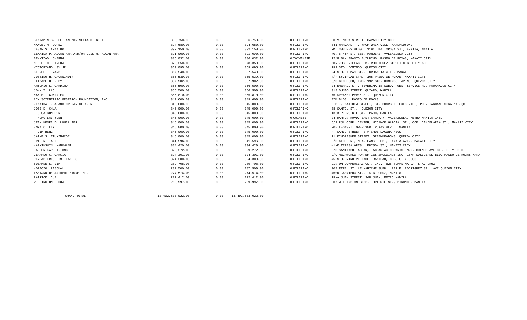| BENJAMIN S. GELI AND/OR NELIA O. GELI         | 396,750.00 | 0.00 | 396,750.00 | 0 FILIPINO  | 80 V. MAPA STREET DAVAO CITY 8000                                                |
|-----------------------------------------------|------------|------|------------|-------------|----------------------------------------------------------------------------------|
| MANUEL M. LOPEZ                               | 394,680.00 | 0.00 | 394,680.00 | 0 FILIPINO  | 841 HARVARD T., WACK WACK VILL MANDALUYONG                                       |
| CESAR S. ARNALDO                              | 392,150.00 | 0.00 | 392,150.00 | 0 FILIPINO  | RM. 303 NBV BLDG., 1191 MA. OROSA ST., ERMITA, MANILA                            |
| ZENAIDA P. ALCANTARA AND/OR LUIS M. ALCANTARA | 391,000.00 | 0.00 | 391,000.00 | 0 FILIPINO  | NO. 6 4TH ST, BBB, MARULAS VALENZUELA CITY                                       |
| BEN-TZAO CHERNG                               | 386,032,00 | 0.00 | 386,032.00 | 0 TAIWANESE | 12/F BA-LEPANTO BUILDING PASEO DE ROXAS, MAKATI CITY                             |
| MIGUEL O. PINEDA                              | 378,350.00 | 0.00 | 378,350.00 | 0 FILIPINO  | DON JOSE VILLAGE B. RODRIGUEZ STREET CEBU CITY 6000                              |
| VICTORIANO SY JR.                             | 369,095.00 | 0.00 | 369,095.00 | 0 FILIPINO  | 192 STO. DOMINGO QUEZON CITY                                                     |
| GEORGE T. YANG                                | 367,540.00 | 0.00 | 367,540.00 | 0 FILIPINO  | 24 STO. TOMAS ST., URDANETA VILL. MAKATI                                         |
| JUSTINO H. CACANINDIN                         | 365,539.00 | 0.00 | 365,539.00 | 0 FILIPINO  | 4/F SYCIPLAW CTR. 105 PASEO DE ROXAS, MAKATI CITY                                |
| ELIZABETH L. SY                               | 357,902.00 | 0.00 | 357,902.00 | 0 FILIPINO  | C/O GLOBESCO, INC. 192 STO. DOMINGO AVENUE OUEZON CITY                           |
| ANTONIO L. CARDINO                            | 356,500.00 | 0.00 | 356,500.00 | 0 FILIPINO  | 24 EMERALD ST., SEVERINA 18 SUBD. WEST SERVICE RD. PARANAQUE CITY                |
| JOHN T. LAO                                   | 356,500.00 | 0.00 | 356,500.00 | 0 FILIPINO  | 318 GUNAO STREET QUIAPO, MANILA                                                  |
| MANUEL GONZALES                               | 355,810.00 | 0.00 | 355,810.00 | 0 FILIPINO  | 76 SPEAKER PEREZ ST. OUEZON CITY                                                 |
| AIM SCIENTIFIC RESEARCH FOUNDATION, INC.      | 349,600.00 | 0.00 | 349,600.00 | 0 FILIPINO  | AIM BLDG. PASEO DE ROXAS,                                                        |
| ZENAIDA I. ALANO OR JANICE A. R.              | 345,000.00 | 0.00 | 345,000.00 | 0 FILIPINO  | 6 ST., MATTHEW STREET, ST. CHARBEL EXEC VILL, PH 2 TANDANG SORA 116 OC           |
| JOSE D. CHUA                                  | 345,000.00 | 0.00 | 345,000.00 | 0 FILIPINO  | 38 SANTOL ST., QUEZON CITY                                                       |
| CHUA BON PEN                                  | 345,000.00 | 0.00 | 345,000.00 | 0 FILIPINO  | 1363 PEDRO GIL ST. PACO, MANILA                                                  |
| HUNG LAI YUEN                                 | 345,000.00 | 0.00 | 345,000.00 | 0 CHINESE   | 24 MARTON ROAD, EAST CANUMAY VALENZUELA, METRO MANILA 1469                       |
| JEAN HENRI D. LHUILLIER                       | 345,000.00 | 0.00 | 345,000.00 | 0 FILIPINO  | 6/F PJL CORP. CENTER, NICANOR GARCIA ST., COR. CANDELARIA ST., MAKATI CITY       |
| EMMA C. LIM                                   | 345,000.00 | 0.00 | 345,000.00 | 0 FILIPINO  | 20H LEGASPI TOWER 300 ROXAS BLVD., MANILA                                        |
| LIM HENG                                      | 345,000.00 | 0.00 | 345,000.00 | 0 FILIPINO  | F. SARIO STREET STA CRUZ LAGUNA 4009                                             |
| JAIME S. TIUKINGCOC                           | 345,000.00 | 0.00 | 345,000.00 | 0 FILIPINO  | 11 KINGFISHER STREET GREENMEADOWS, QUEZON CITY                                   |
| ERIC R. TAGLE                                 | 341,596.00 | 0.00 | 341,596.00 | 0 FILIPINO  | C/O 6TH FLR., MLA. BANK BLDG., AYALA AVE., MAKATI CITY                           |
| HARKINSHIN NANDWANI                           | 334,420.00 | 0.00 | 334,420.00 | 0 FILIPINO  | #1-K TERESA APTS. EDISON ST., MAKATI CITY                                        |
| JASPER KARL T. ONG                            | 329,272.00 | 0.00 | 329,272.00 | 0 FILIPINO  | C/O SANTIAGO TACHAN, TACHAN AUTO PARTS M.J. CUENCO AVE CEBU CITY 6000            |
| GERARDO C. GARCIA                             | 324,301.00 | 0.00 | 324,301.00 | 0 FILIPINO  | C/O MEGAWORLD PORPERTIES & HOLDINGS INC 16/F SOLIDBANK BLDG PASEO DE ROXAS MAKAT |
| REY ASTERIO LIM TAMBIS                        | 324,300.00 | 0.00 | 324,300.00 | 0 FILIPINO  | #5 STO. NINO VILLAGE BANILAD, CEBU CITY 6000                                     |
| SUZANNE S. LIM                                | 289,708.00 | 0.00 | 289,708.00 | 0 FILIPINO  | LINTON COMMERCIAL CO., INC. 628 TOMAS MAPUA, STA. CRUZ                           |
| HORACIO PASCUAL                               | 287,500.00 | 0.00 | 287,500.00 | 0 FILIPINO  | 907 EIFEL ST. LE MARICHE SUBD. 222 E. RODRIGUEZ SR., AVE QUEZON CITY             |
| ISETANN DEPARTMENT STORE INC.                 | 274,574.00 | 0.00 | 274,574.00 | 0 FILIPINO  | #600 CARRIEDO ST., STA. CRUZ, MANILA                                             |
| PATRICK CUA                                   | 272,412.00 | 0.00 | 272,412.00 | 0 FILIPINO  | 19-A JUAN STREET SAN JUAN, METRO MANILA                                          |
| WILLINGTON CHUA                               | 269,997.00 | 0.00 | 269,997.00 | 0 FILIPINO  | 307 WELLINGTON BLDG. ORIENTE ST., BINONDO, MANILA                                |
|                                               |            |      |            |             |                                                                                  |

GRAND TOTAL

13,492,533,022.00 0.00 13,492,533,022.00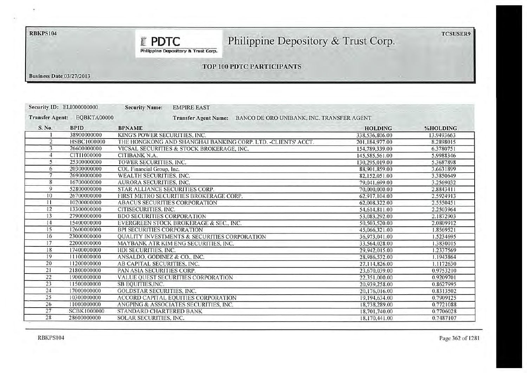# RBKPS104

# Philippine Depository & Trust Corp.

**E** PDTC Philippine Depository & Trust Corp.

## TOP 100 PDTC PARTICIPANTS

**Business Date 03/27/2013** 

| <b>Security ID: EL1000000000</b> |             | <b>Security Name:</b><br><b>EMPIRE EAST</b>                              |                |            |
|----------------------------------|-------------|--------------------------------------------------------------------------|----------------|------------|
| <b>Transfer Agent:</b>           | EQBKTA00000 | BANCO DE ORO UNIBANK, INC. TRANSFER AGENT<br><b>Transfer Agent Name:</b> |                |            |
| S. No.                           | <b>BPID</b> | <b>BPNAME</b>                                                            | <b>HOLDING</b> | %HOLDING   |
|                                  | 38900000000 | KING'S POWER SECURITIES, INC.                                            | 338,536,806.00 | 13.9493663 |
| $\overline{2}$                   | HSBC1000000 | THE HONGKONG AND SHANGHAI BANKING CORP. LTD. -CLIENTS' ACCT.             | 201,184,977.00 | 8.2898015  |
| 3                                | 26600000000 | VICSAL SECURITIES & STOCK BROKERAGE, INC.                                | 154,789,339.00 | 6.3780751  |
|                                  | CIT11000000 | CITIBANK N.A.                                                            | 145,585,561.00 | 5.9988346  |
| 5                                | 25300000000 | TOWER SECURITIES, INC.                                                   | 130,295,019.00 | 5.3687898  |
| 6                                | 20300000000 | COL Financial Group, Inc.                                                | 88.901,859.00  | 3.6631899  |
| 7                                | 26900000000 | WEALTH SECURITIES, INC.                                                  | 82,152,051.00  | 3.3850649  |
| 8                                | 16700000000 | AURORA SECURITIES, INC.                                                  | 79,041,699.00  | 3.2569032  |
| 9                                | 52800000000 | STAR ALLIANCE SECURITIES CORP.                                           | 70,000,000.00  | 2.8843411  |
| 10 <sup>°</sup>                  | 26700000000 | FIRST METRO SECURITIES BROKERAGE CORP.                                   | 62,917,104.00  | 2.5924913  |
| 11                               | 10200000000 | <b>ABACUS SECURITIES CORPORATION</b>                                     | 62,008,322.00  | 2.5550451  |
| 12                               | 13300000000 | CITISECURITIES, INC.                                                     | 54,614,811.00  | 2.2503964  |
| 13                               | 27900000000 | <b>BDO SECURITIES CORPORATION</b>                                        | 53,083,292.00  | 2.1872903  |
| 14                               | 15400000000 | EVERGREEN STOCK BROKERAGE & SEC., INC.                                   | 50,503,520.00  | 2.0809912  |
| 15                               | 12600000000 | <b>BPI SECURITIES CORPORATION</b>                                        | 45,066,321.00  | 1.8569521  |
| 16                               | 23000000000 | <b>QUALITY INVESTMENTS &amp; SECURITIES CORPORATION</b>                  | 36,973,041.00  | 1.5234695  |
| 17                               | 22000000000 | MAYBANK ATR KIM ENG SECURITIES, INC.                                     | 33,564,028.00  | 1.3830015  |
| 18                               | 17400000000 | HDI SECURITIES, INC.                                                     | 29.942.015.00  | 1.2337569  |
| 19                               | 11100000000 | ANSALDO, GODINEZ & CO., INC.                                             | 28,986,532.00  | 1.1943864  |
| 20                               | 11200000000 | AB CAPITAL SECURITIES. INC.                                              | 27,114,826.00  | 1.1172630  |
| 21                               | 21800000000 | PAN ASIA SECURITIES CORP.                                                | 23,670,039.00  | 0.9753210  |
| 22                               | 19000000000 | VALUE QUEST SECURITIES CORPORATION                                       | 22.351,000.00  | 0.9209701  |
| 23                               | 11500000000 | SB EQUITIES, INC.                                                        | 20.939,258.00  | 0.8627995  |
| 24                               | 17000000000 | <b>GOLDSTAR SECURITIES, INC.</b>                                         | 20,176,016.00  | 0.8313502  |
| 25                               | 10300000000 | ACCORD CAPITAL EQUITIES CORPORATION                                      | 19,194,634.00  | 0.7909125  |
| 26                               | 11000000000 | ANGPING & ASSOCIATES SECURITIES, INC.                                    | 18,738,289.00  | 0.7721088  |
| 27                               | SCBK1000000 | STANDARD CHARTERED BANK                                                  | 18,701,740.00  | 0.7706028  |
| 28                               | 28600000000 | SOLAR SECURITIES, INC.                                                   | 18.170.441.00  | 0.7487107  |

**TCSUSER9**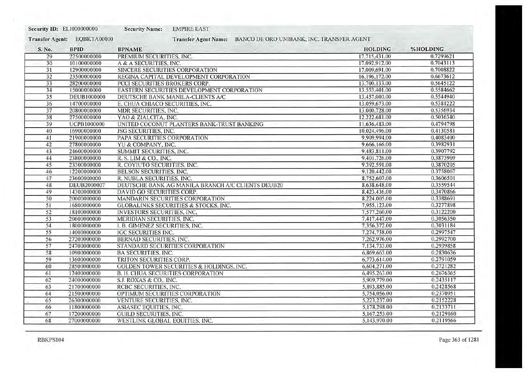| Security ID: EL1000000000 |                    | <b>EMPIRE EAST</b><br><b>Security Name:</b>         |                                           |           |
|---------------------------|--------------------|-----------------------------------------------------|-------------------------------------------|-----------|
| <b>Transfer Agent:</b>    | EQBKTA00000        | <b>Transfer Agent Name:</b>                         | BANCO DE ORO UNIBANK, INC. TRANSFER AGENT |           |
| S. No.                    | <b>BPID</b>        | <b>BPNAME</b>                                       | <b>HOLDING</b>                            | %HOLDING  |
| 29                        | 22500000000        | PREMIUM SECURITIES, INC.                            | 17.715,431.00                             | 0.7299621 |
| 30                        | 10100000000        | A & A SECURITIES, INC.                              | 17.092,912.00                             | 0.7043113 |
| 31                        | 12900000000        | SINCERE SECURITIES CORPORATION                      | 17,009,691.00                             | 0.7008822 |
| 32                        | 23500000000        | REGINA CAPITAL DEVELOPMENT CORPORATION              | 16,196,172.00                             | 0.6673612 |
| 33                        | 28200000000        | PCCI SECURITIES BROKERS CORP.                       | 13,700,133.00                             | 0.5645122 |
| 34                        | 15000000000        | EASTERN SECURITIES DEVELOPMENT CORPORATION          | 13.553,401.00                             | 0.5584662 |
| 35                        | <b>DEUB1000000</b> | DEUTSCHE BANK MANILA-CLIENTS A/C                    | 13,457,000.00                             | 0.5544940 |
| 36                        | 14700000000        | E. CHUA CHIACO SECURITIES, INC.                     | 13,059,673.00                             | 0.5381222 |
| 37                        | 20800000000        | MDR SECURITIES, INC.                                | 13,000,728.00                             | 0.5356934 |
| 38                        | 27500000000        | YAO & ZIALCITA, INC.                                | 12.222.681.00                             | 0.5036340 |
| 39                        | UCPB1000000        | UNITED COCONUT PLANTERS BANK-TRUST BANKING          | 11,636,483.00                             | 0.4794798 |
| 40                        | 16900000000        | <b>JSG SECURITIES, INC.</b>                         | 10.024,496.00                             | 0.4130581 |
| 41                        | 21900000000        | PAPA SECURITIES CORPORATION                         | 9.909.994.00                              | 0.4083400 |
| 42                        | 27800000000        | YU & COMPANY, INC.                                  | 9,666,166.00                              | 0.3982931 |
| 43                        | 24600000000        | SUMMIT SECURITIES, INC.                             | 9,483,811.00                              | 0.3907792 |
| 44                        | 23800000000        | R. S. LIM & CO., INC.                               | 9,401.726.00                              | 0.3873969 |
| 45                        | 23300000000        | R. COYIUTO SECURITIES, INC.                         | 9.392.591.00                              | 0.3870205 |
| 46                        | 12200000000        | BELSON SECURITIES, INC.                             | 9,120,442.00                              | 0.3758067 |
| 47                        | 23600000000        | R. NUBLA SECURITIES, INC.                           | 8,752,607.00                              | 0.3606501 |
| 48                        | DEUB2000007        | DEUTSCHE BANK AG MANILA BRANCH A/C CLIENTS DEUB20   | 8,638,648.00                              | 0.3559544 |
| 49                        | 14300000000        | DAVID GO SECURITIES CORP.                           | 8,423,436.00                              | 0.3470866 |
| 50                        | 20000000000        | MANDARIN SECURITIES CORPORATION                     | 8,224,005.00                              | 0.3388691 |
| 51                        | 16800000000        | <b>GLOBALINKS SECURITIES &amp; STOCKS, INC.</b>     | 7,955,123.00                              | 0.3277898 |
| 52                        | 18100000000        | INVESTORS SECURITIES, INC.                          | 7.577,260.00                              | 0.3122200 |
| 53                        | 20600000000        | MERIDIAN SECURITIES, INC.                           | 7,417,447.00                              | 0.3056350 |
| 54                        | 18000000000        | I. B. GIMENEZ SECURITIES, INC.                      | 7,356,372.00                              | 0.3031184 |
| 55                        | 14000000000        | <b>IGC SECURITIES INC.</b>                          | 7.274.738.00                              | 0.2997547 |
| 56                        | 27200000000        | <b>BERNAD SECURITIES, INC.</b>                      | 7.262,976.00                              | 0.2992700 |
| 57                        | 24700000000        | STANDARD SECURITIES CORPORATION                     | 7.134,733.00                              | 0.2939858 |
| 58                        | 10900000000        | <b>BA SECURITIES, INC.</b>                          | 6,869,663.00                              | 0.2830636 |
| 59                        | 13600000000        | TRITON SECURITIES CORP.                             | 6,773,614.00                              | 0.2791059 |
| 60                        | 28500000000        | <b>GOLDEN TOWER SECURITIES &amp; HOLDINGS, INC.</b> | 6.604,271.00                              | 0.2721282 |
| 61                        | 12400000000        | <b>B. H. CHUA SECURITIES CORPORATION</b>            | 6,495,263.00                              | 0.2676365 |
| 62                        | 24000000000        | S.J. ROXAS & CO., INC.                              | 5,909,779.00                              | 0.2435117 |
| 63                        | 21700000000        | RCBC SECURITIES, INC.                               | 5,893,885.00                              | 0.2428568 |
| 64                        | 21500000000        | OPTIMUM SECURITIES CORPORATION                      | 5,754,056.00                              | 0.2370951 |
| 65                        | 26300000000        | VENTURE SECURITIES, INC.                            | 5,223,237.00                              | 0.2152228 |
| 66                        | 11800000000        | ASIASEC EQUITIES, INC.                              | 5,178,298.00                              | 0.2133711 |
| 67                        | 17200000000        | <b>GUILD SECURITIES, INC.</b>                       | 5,167,253.00                              | 0.2129160 |
| 68                        | 27000000000        | WESTLINK GLOBAL EQUITIES, INC.                      | 5,143,970.00                              | 0.2119566 |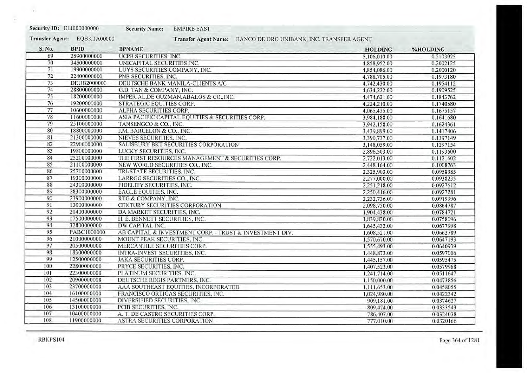| <b>Security ID: EL1000000000</b> |
|----------------------------------|
|                                  |

**Security Name: EMPIRE EAST** 

EQBKTA00000 **Transfer Agent:** 

Transfer Agent Name: BANCO DE ORO UNIBANK, INC. TRANSFER AGENT

| S. No. | <b>BPID</b> | <b>BPNAME</b>                                           | <b>HOLDING</b> | %HOLDING  |
|--------|-------------|---------------------------------------------------------|----------------|-----------|
| 69     | 25900000000 | UCPB SECURITIES, INC.                                   | 5,106,010.00   | 0.2103925 |
| 70     | 34500000000 | UNICAPITAL SECURITIES INC.                              | 4,858,952.00   | 0.2002125 |
| 71     | 19900000000 | LUYS SECURITIES COMPANY, INC.                           | 4,854,086.00   | 0.2000120 |
| 72     | 22400000000 | PNB SECURITIES, INC.                                    | 4.788,705.00   | 0.1973180 |
| 73     | DEUB2000000 | DEUTSCHE BANK MANILA-CLIENTS A/C                        | 4.742,430.00   | 0.1954112 |
| 74     | 28800000000 | G.D. TAN & COMPANY, INC.                                | 4,634,222.00   | 0.1909525 |
| 75     | 18200000000 | IMPERIAL, DE GUZMAN, ABALOS & CO., INC.                 | 4,474,621.00   | 0.1843762 |
| 76     | 19200000000 | STRATEGIC EQUITIES CORP.                                | 4.224.210.00   | 0.1740580 |
| 77     | 10600000000 | ALPHA SECURITIES CORP.                                  | 4,065,435.00   | 0.1675157 |
| 78     | 11600000000 | ASIA PACIFIC CAPITAL EQUITIES & SECURITIES CORP.        | 3.984,188.00   | 0.1641680 |
| 79     | 25100000000 | TANSENGCO & CO., INC.                                   | 3.942.158.00   | 0.1624361 |
| 80     | 18800000000 | J.M. BARCELON & CO., INC.                               | 3,439,899.00   | 0.1417406 |
| 81     | 21300000000 | NIEVES SECURITIES, INC.                                 | 3.390,737.00   | 0.1397149 |
| 82     | 22900000000 | SALISBURY BKT SECURITIES CORPORATION                    | 3,148,059.00   | 0.1297154 |
| 83     | 19800000000 | LUCKY SECURITIES, INC.                                  | 2,896,503.00   | 0.1193500 |
| 84     | 25200000000 | THE FIRST RESOURCES MANAGEMENT & SECURITIES CORP.       | 2,722,013.00   | 0.1121602 |
| 85     | 21100000000 | NEW WORLD SECURITIES CO., INC.                          | 2.448.164.00   | 0.1008763 |
| 86     | 25700000000 | TRI-STATE SECURITIES, INC.                              | 2.325,903.00   | 0.0958385 |
| 87     | 19300000000 | LARRGO SECURITIES CO., INC.                             | 2,277,000.00   | 0.0938235 |
| 88     | 24300000000 | FIDELITY SECURITIES, INC.                               | 2,251,218.00   | 0.0927612 |
| 89     | 28300000000 | <b>EAGLE EQUITIES, INC.</b>                             | 2.250,416.00   | 0.0927281 |
| 90     | 23900000000 | RTG & COMPANY, INC.                                     | 2.232.736.00   | 0.0919996 |
| 91     | 13000000000 | CENTURY SECURITIES CORPORATION                          | 2,098,750.00   | 0.0864787 |
| 92     | 20400000000 | DA MARKET SECURITIES, INC.                              | 1,904,438.00   | 0.0784721 |
| 93     | 17500000000 | H. E. BENNETT SECURITIES, INC.                          | 1,839,820.00   | 0.0758096 |
| 94     | 32800000000 | DW CAPITAL INC.                                         | 1,645,432.00   | 0.0677998 |
| 95     | PABC1000000 | AB CAPITAL & INVESTMENT CORP. - TRUST & INVESTMENT DIV. | 1,608,521.00   | 0.0662789 |
| 96     | 21000000000 | MOUNT PEAK SECURITIES, INC.                             | 1,570,670.00   | 0.0647193 |
| 97     | 20500000000 | MERCANTILE SECURITIES CORP.                             | 1,555,493.00   | 0.0640939 |
| 98     | 18300000000 | INTRA-INVEST SECURITIES, INC.                           | 1,448,873.00   | 0.0597006 |
| 99     | 12500000000 | <b>JAKA SECURITIES CORP.</b>                            | 1,445,157.00   | 0.0595475 |
| 100    | 22800000000 | PRYCE SECURITIES, INC.                                  | 1,407,523.00   | 0.0579968 |
| 101    | 22300000000 | PLATINUM SECURITIES, INC.                               | 1,241,714.00   | 0.0511647 |
| 102    | 20900000008 | DEUTSCHE REGIS PARTNERS, INC.                           | 1,150,000.00   | 0.0473856 |
| 103    | 23700000000 | AAA SOUTHEAST EQUITIES, INCORPORATED                    | 1,111,653.00   | 0.0458055 |
| 104    | 16100000000 | FRANCISCO ORTIGAS SECURITIES, INC.                      | 1,024,980.00   | 0.0422342 |
| 105    | 14500000000 | DIVERSIFIED SECURITIES, INC.                            | 909,181.00     | 0.0374627 |
| 106    | 13100000000 | PCIB SECURITIES, INC.                                   | 809,474.00     | 0.0333543 |
| 107    | 10400000000 | A. T. DE CASTRO SECURITIES CORP.                        | 786,407.00     | 0.0324038 |
| 108    | 11900000000 | <b>ASTRA SECURITIES CORPORATION</b>                     | 777,010.00     | 0.0320166 |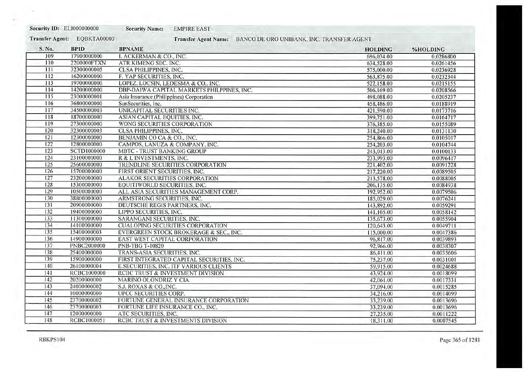| Security ID: EL1000000000 |                    | <b>Security Name:</b>                    | <b>EMPIRE EAST</b>                         |                                           |           |
|---------------------------|--------------------|------------------------------------------|--------------------------------------------|-------------------------------------------|-----------|
| <b>Transfer Agent:</b>    | EQBKTA00000        |                                          | <b>Transfer Agent Name:</b>                | BANCO DE ORO UNIBANK, INC. TRANSFER AGENT |           |
| S. No.                    | <b>BPID</b>        | <b>BPNAME</b>                            |                                            | <b>HOLDING</b>                            | %HOLDING  |
| 109                       | 17900000000        | I. ACKERMAN & CO., INC.                  |                                            | 696,034.00                                | 0.0286800 |
| 110                       | 2200000FTXN        | ATR KIMENG SEC. INC.                     |                                            | 634,528.00                                | 0.0261456 |
| 111                       | 32300000005        | CLSA PHILIPPINES, INC.                   |                                            | 575,000.00                                | 0.0236928 |
| 112                       | 16200000000        | F. YAP SECURITIES, INC.                  |                                            | 563,875.00                                | 0.0232344 |
| 113                       | 19700000000        | LOPEZ, LOCSIN, LEDESMA & CO., INC.       |                                            | 522.158.00                                | 0.0215155 |
| 114                       | 14200000000        |                                          | DBP-DAIWA CAPITAL MARKETS PHILPPINES, INC. | 506,169.00                                | 0.0208566 |
| 115                       | 23000000001        | Asia Insurance (Philippines) Corporation |                                            | 498,088.00                                | 0.0205237 |
| 116                       | 36800000000        | SunSecurities, Inc.                      |                                            | 458,486.00                                | 0.0188919 |
| 117                       | 34500000003        | UNICAPITAL SECURITIES INC.               |                                            | 421,590.00                                | 0.0173716 |
| 118                       | 18700000000        | ASIAN CAPITAL EQUITIES, INC.             |                                            | 399,751.00                                | 0.0164717 |
| 119                       | 27300000000        | WONG SECURITIES CORPORATION              |                                            | 376,385.00                                | 0.0155089 |
| 120                       | 32300000003        | <b>CLSA PHILIPPINES, INC.</b>            |                                            | 318,240.00                                | 0.0131130 |
| 121                       | 12300000000        | BENJAMIN CO CA & CO., INC.               |                                            | 254,866.00                                | 0.0105017 |
| 122                       | 12800000000        | CAMPOS, LANUZA & COMPANY, INC.           |                                            | 254,203.00                                | 0.0104744 |
| 123                       | <b>SCTD1000000</b> | <b>MBTC - TRUST BANKING GROUP</b>        |                                            | 243,013.00                                | 0.0100133 |
| 124                       | 23100000000        | R & L INVESTMENTS, INC.                  |                                            | 233,993.00                                | 0.0096417 |
| 125                       | 25600000000        |                                          | TRENDLINE SECURITIES CORPORATION           | 221,402.00                                | 0.0091228 |
| 126                       | 15700000000        | FIRST ORIENT SECURITIES, INC.            |                                            | 217,220.00                                | 0.0089505 |
| 127                       | 23200000000        | ALAKOR SECURITIES CORPORATION            |                                            | 213,578.00                                | 0.0088005 |
| 128                       | 15300000000        | EQUITIWORLD SECURITIES, INC.             |                                            | 206,135.00                                | 0.0084938 |
| 129                       | 10500000000        |                                          | ALL ASIA SECURITIES MANAGEMENT CORP.       | 192,952.00                                | 0.0079506 |
| 130                       | 38800000000        | ARMSTRONG SECURITIES, INC.               |                                            | 185,029.00                                | 0.0076241 |
| 131                       | 20900000000        | DEUTSCHE REGIS PARTNERS, INC.            |                                            | 143,892.00                                | 0.0059291 |
| 132                       | 19400000000        | LIPPO SECURITIES, INC.                   |                                            | 141,105.00                                | 0.0058142 |
| 133                       | 11300000000        | SARANGANI SECURITIES, INC.               |                                            | 135,673.00                                | 0.0055904 |
| 134                       | 14100000000        |                                          | <b>CUALOPING SECURITIES CORPORATION</b>    | 120,643.00                                | 0.0049711 |
| 135                       | 15400000003        |                                          | EVERGREEN STOCK BROKERAGE & SEC., INC.     | 115,000.00                                | 0.0047386 |
| 136                       | 14900000000        | EAST WEST CAPITAL CORPORATION            |                                            | 96.817.00                                 | 0.0039893 |
| 137                       | PNBC2000000        | <b>PNB-TBG T-10820</b>                   |                                            | 92,966.00                                 | 0.0038307 |
| 138                       | 25400000000        | TRANS-ASIA SECURITIES. INC.              |                                            | 86,411.00                                 | 0.0035606 |
| 139                       | 15900000000        |                                          | FIRST INTEGRATED CAPITAL SECURITIES. INC.  | 75.237.00                                 | 0.0031001 |
| 140                       | 26100000004        |                                          | E.SECURITIES, INC. ITF VARIOUS CLIENTS     | 59,915.00                                 | 0.0024688 |
| 141                       | RCBC1000000        |                                          | RCBC TRUST & INVESTMENT DIVISION           | 43,924.00                                 | 0.0018099 |
| 142                       | 20200000000        | <b>MARINO OLONDRIZ Y CIA</b>             |                                            | 42,061.00                                 | 0.0017331 |
| 143                       | 24000000002        | S.J. ROXAS & CO., INC.                   |                                            | 37,094.00                                 | 0.0015285 |
| 144                       | 10000000000        | UPCC SECURITIES CORP.                    |                                            | 34,216.00                                 | 0.0014099 |
| 145                       | 23700000002        |                                          | FORTUNE GENERAL INSURANCE CORPORATION      | 33,239.00                                 | 0.0013696 |
| 146                       | 23700000003        | FORTUNE LIFE INSURANCE CO., INC.         |                                            | 33.239.00                                 | 0.0013696 |
| 147                       | 12000000000        | ATC SECURITIES, INC.                     |                                            | 27,235.00                                 | 0.0011222 |
| 148                       | RCBC1000051        |                                          | RCBC TRUST & INVESTMENTS DIVISION          | 18,311.00                                 | 0.0007545 |